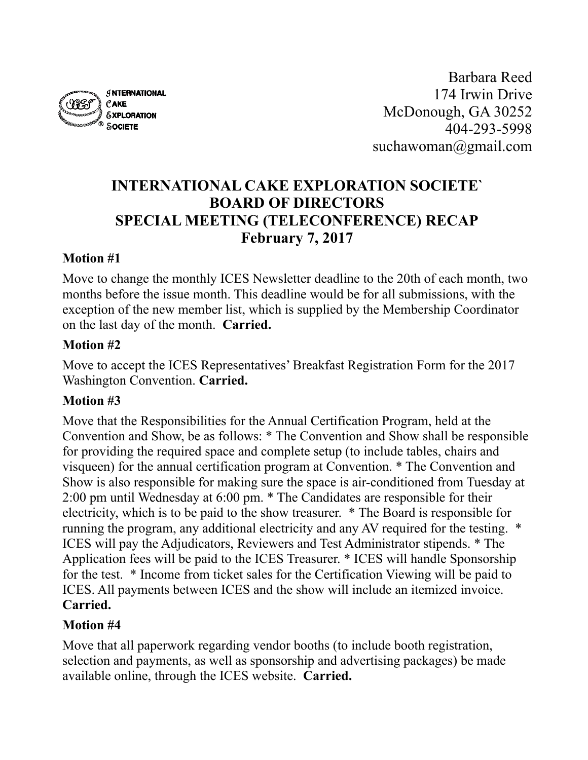

Barbara Reed 174 Irwin Drive McDonough, GA 30252 404-293-5998 suchawoman@gmail.com

# **INTERNATIONAL CAKE EXPLORATION SOCIETE` BOARD OF DIRECTORS SPECIAL MEETING (TELECONFERENCE) RECAP February 7, 2017**

#### **Motion #1**

Move to change the monthly ICES Newsletter deadline to the 20th of each month, two months before the issue month. This deadline would be for all submissions, with the exception of the new member list, which is supplied by the Membership Coordinator on the last day of the month. **Carried.**

#### **Motion #2**

Move to accept the ICES Representatives' Breakfast Registration Form for the 2017 Washington Convention. **Carried.**

#### **Motion #3**

Move that the Responsibilities for the Annual Certification Program, held at the Convention and Show, be as follows: \* The Convention and Show shall be responsible for providing the required space and complete setup (to include tables, chairs and visqueen) for the annual certification program at Convention. \* The Convention and Show is also responsible for making sure the space is air-conditioned from Tuesday at 2:00 pm until Wednesday at 6:00 pm. \* The Candidates are responsible for their electricity, which is to be paid to the show treasurer. \* The Board is responsible for running the program, any additional electricity and any AV required for the testing. \* ICES will pay the Adjudicators, Reviewers and Test Administrator stipends. \* The Application fees will be paid to the ICES Treasurer. \* ICES will handle Sponsorship for the test. \* Income from ticket sales for the Certification Viewing will be paid to ICES. All payments between ICES and the show will include an itemized invoice. **Carried.**

#### **Motion #4**

Move that all paperwork regarding vendor booths (to include booth registration, selection and payments, as well as sponsorship and advertising packages) be made available online, through the ICES website. **Carried.**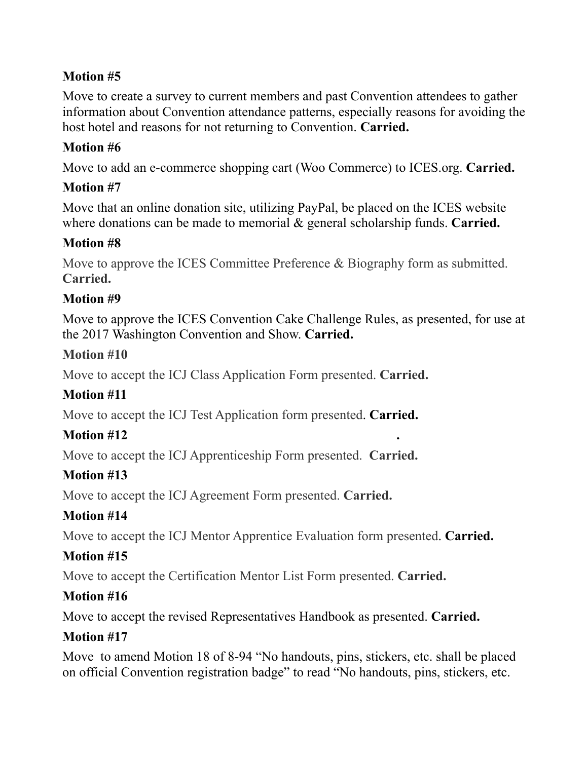#### **Motion #5**

Move to create a survey to current members and past Convention attendees to gather information about Convention attendance patterns, especially reasons for avoiding the host hotel and reasons for not returning to Convention. **Carried.**

#### **Motion #6**

Move to add an e-commerce shopping cart (Woo Commerce) to ICES.org. **Carried.**

#### **Motion #7**

Move that an online donation site, utilizing PayPal, be placed on the ICES website where donations can be made to memorial & general scholarship funds. **Carried.**

#### **Motion #8**

Move to approve the ICES Committee Preference & Biography form as submitted. **Carried.**

#### **Motion #9**

Move to approve the ICES Convention Cake Challenge Rules, as presented, for use at the 2017 Washington Convention and Show. **Carried.**

#### **Motion #10**

Move to accept the ICJ Class Application Form presented. **Carried.**

## **Motion #11**

Move to accept the ICJ Test Application form presented. **Carried.**

## **Motion #12 .**

Move to accept the ICJ Apprenticeship Form presented. **Carried.**

## **Motion #13**

Move to accept the ICJ Agreement Form presented. **Carried.**

## **Motion #14**

Move to accept the ICJ Mentor Apprentice Evaluation form presented. **Carried.**

## **Motion #15**

Move to accept the Certification Mentor List Form presented. **Carried.**

## **Motion #16**

Move to accept the revised Representatives Handbook as presented. **Carried.**

## **Motion #17**

Move to amend Motion 18 of 8-94 "No handouts, pins, stickers, etc. shall be placed on official Convention registration badge" to read "No handouts, pins, stickers, etc.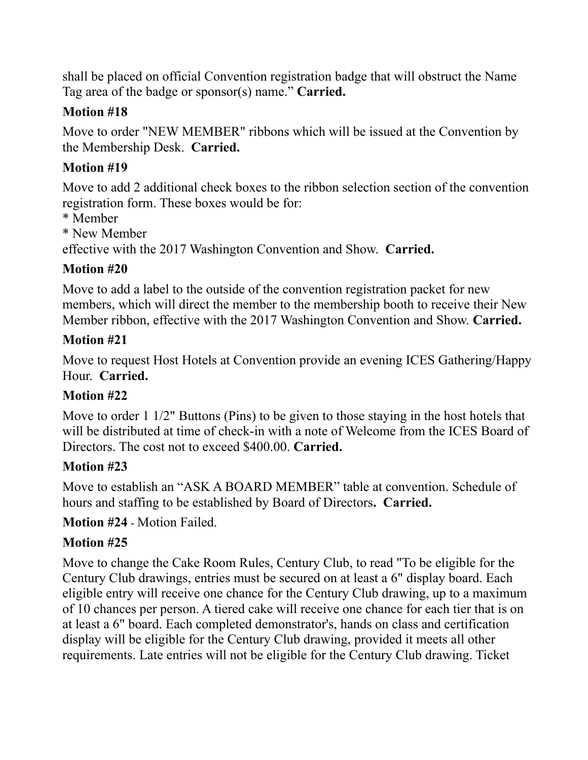shall be placed on official Convention registration badge that will obstruct the Name Tag area of the badge or sponsor(s) name." **Carried.**

#### **Motion #18**

Move to order "NEW MEMBER" ribbons which will be issued at the Convention by the Membership Desk. **Carried.**

## **Motion #19**

Move to add 2 additional check boxes to the ribbon selection section of the convention registration form. These boxes would be for:

- \* Member
- \* New Member

effective with the 2017 Washington Convention and Show. **Carried.**

# **Motion #20**

Move to add a label to the outside of the convention registration packet for new members, which will direct the member to the membership booth to receive their New Member ribbon, effective with the 2017 Washington Convention and Show. **Carried.**

## **Motion #21**

Move to request Host Hotels at Convention provide an evening ICES Gathering/Happy Hour. **Carried.**

# **Motion #22**

Move to order 1 1/2" Buttons (Pins) to be given to those staying in the host hotels that will be distributed at time of check-in with a note of Welcome from the ICES Board of Directors. The cost not to exceed \$400.00. **Carried.**

# **Motion #23**

Move to establish an "ASK A BOARD MEMBER" table at convention. Schedule of hours and staffing to be established by Board of Directors**. Carried.**

**Motion #24** - Motion Failed.

# **Motion #25**

Move to change the Cake Room Rules, Century Club, to read "To be eligible for the Century Club drawings, entries must be secured on at least a 6" display board. Each eligible entry will receive one chance for the Century Club drawing, up to a maximum of 10 chances per person. A tiered cake will receive one chance for each tier that is on at least a 6" board. Each completed demonstrator's, hands on class and certification display will be eligible for the Century Club drawing, provided it meets all other requirements. Late entries will not be eligible for the Century Club drawing. Ticket